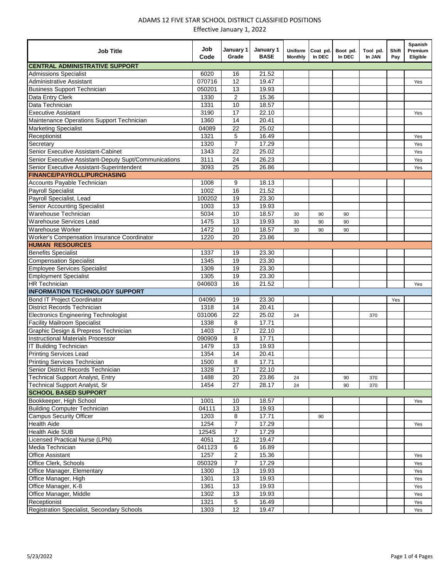| Job Title                                             | Job<br>Code | January 1<br>Grade | January 1<br><b>BASE</b> | <b>Uniform</b><br><b>Monthly</b> | Coat pd.<br>In DEC | Boot pd.<br>In DEC | Tool pd.<br>In JAN | Shift<br>Pay | Spanish<br>Premium<br>Eligible |
|-------------------------------------------------------|-------------|--------------------|--------------------------|----------------------------------|--------------------|--------------------|--------------------|--------------|--------------------------------|
| <b>CENTRAL ADMINISTRATIVE SUPPORT</b>                 |             |                    |                          |                                  |                    |                    |                    |              |                                |
| <b>Admissions Specialist</b>                          | 6020        | 16                 | 21.52                    |                                  |                    |                    |                    |              |                                |
| <b>Administrative Assistant</b>                       | 070716      | 12                 | 19.47                    |                                  |                    |                    |                    |              | Yes                            |
| <b>Business Support Technician</b>                    | 050201      | 13                 | 19.93                    |                                  |                    |                    |                    |              |                                |
| Data Entry Clerk                                      | 1330        | $\overline{2}$     | 15.36                    |                                  |                    |                    |                    |              |                                |
| Data Technician                                       | 1331        | 10                 | 18.57                    |                                  |                    |                    |                    |              |                                |
| <b>Executive Assistant</b>                            | 3190        | $\overline{17}$    | 22.10                    |                                  |                    |                    |                    |              | Yes                            |
| Maintenance Operations Support Technician             | 1360        | $\overline{14}$    | 20.41                    |                                  |                    |                    |                    |              |                                |
| <b>Marketing Specialist</b>                           | 04089       | $\overline{22}$    | 25.02                    |                                  |                    |                    |                    |              |                                |
| Receptionist                                          | 1321        | $\mathbf 5$        | 16.49                    |                                  |                    |                    |                    |              | Yes                            |
| Secretary                                             | 1320        | $\overline{7}$     | 17.29                    |                                  |                    |                    |                    |              | Yes                            |
| Senior Executive Assistant-Cabinet                    | 1343        | 22                 | 25.02                    |                                  |                    |                    |                    |              | Yes                            |
| Senior Executive Assistant-Deputy Supt/Communications | 3111        | 24                 | 26.23                    |                                  |                    |                    |                    |              | Yes                            |
| Senior Executive Assistant-Superintendent             | 3093        | 25                 | 26.86                    |                                  |                    |                    |                    |              | Yes                            |
| <b>FINANCE/PAYROLL/PURCHASING</b>                     |             |                    |                          |                                  |                    |                    |                    |              |                                |
| Accounts Payable Technician                           | 1008        | 9                  | 18.13                    |                                  |                    |                    |                    |              |                                |
| <b>Payroll Specialist</b>                             | 1002        | 16                 | 21.52                    |                                  |                    |                    |                    |              |                                |
| Payroll Specialist, Lead                              | 100202      | 19                 | 23.30                    |                                  |                    |                    |                    |              |                                |
| Senior Accounting Specialist                          | 1003        | 13                 | 19.93                    |                                  |                    |                    |                    |              |                                |
| Warehouse Technician                                  | 5034        | 10                 | 18.57                    | 30                               | 90                 | 90                 |                    |              |                                |
| <b>Warehouse Services Lead</b>                        | 1475        | 13                 | 19.93                    | 30                               | 90                 | 90                 |                    |              |                                |
| Warehouse Worker                                      | 1472        | 10                 | 18.57                    | 30                               | 90                 | 90                 |                    |              |                                |
| Worker's Compensation Insurance Coordinator           | 1220        | 20                 | 23.86                    |                                  |                    |                    |                    |              |                                |
| <b>HUMAN RESOURCES</b>                                |             |                    |                          |                                  |                    |                    |                    |              |                                |
| <b>Benefits Specialist</b>                            | 1337        | 19                 | 23.30                    |                                  |                    |                    |                    |              |                                |
| <b>Compensation Specialist</b>                        | 1345        | 19                 | 23.30                    |                                  |                    |                    |                    |              |                                |
| <b>Employee Services Specialist</b>                   | 1309        | 19                 | 23.30                    |                                  |                    |                    |                    |              |                                |
| <b>Employment Specialist</b>                          | 1305        | 19                 | 23.30                    |                                  |                    |                    |                    |              |                                |
| <b>HR Technician</b>                                  | 040603      | 16                 | 21.52                    |                                  |                    |                    |                    |              | Yes                            |
| <b>INFORMATION TECHNOLOGY SUPPORT</b>                 |             |                    |                          |                                  |                    |                    |                    |              |                                |
| <b>Bond IT Project Coordinator</b>                    | 04090       | 19                 | 23.30                    |                                  |                    |                    |                    | Yes          |                                |
| <b>District Records Technician</b>                    | 1318        | 14                 | 20.41                    |                                  |                    |                    |                    |              |                                |
| <b>Electronics Engineering Technologist</b>           | 031006      | $\overline{22}$    | 25.02                    | 24                               |                    |                    | 370                |              |                                |
| <b>Facility Mailroom Specialist</b>                   | 1338        | 8                  | 17.71                    |                                  |                    |                    |                    |              |                                |
| Graphic Design & Prepress Technician                  | 1403        | 17                 | 22.10                    |                                  |                    |                    |                    |              |                                |
| <b>Instructional Materials Processor</b>              | 090909      | 8                  | 17.71                    |                                  |                    |                    |                    |              |                                |
| <b>IT Building Technician</b>                         | 1479        | 13                 | 19.93                    |                                  |                    |                    |                    |              |                                |
| <b>Printing Services Lead</b>                         | 1354        | 14                 | 20.41                    |                                  |                    |                    |                    |              |                                |
| <b>Printing Services Technician</b>                   | 1500        | 8                  | 17.71                    |                                  |                    |                    |                    |              |                                |
| Senior District Records Technician                    | 1328        | 17                 | 22.10                    |                                  |                    |                    |                    |              |                                |
| <b>Technical Support Analyst, Entry</b>               | 1488        | 20                 | 23.86                    | 24                               |                    | 90                 | 370                |              |                                |
| <b>Technical Support Analyst, Sr</b>                  | 1454        | 27                 | 28.17                    | 24                               |                    | 90                 | 370                |              |                                |
| <b>SCHOOL BASED SUPPORT</b>                           |             |                    |                          |                                  |                    |                    |                    |              |                                |
| Bookkeeper, High School                               | 1001        | 10                 | 18.57                    |                                  |                    |                    |                    |              | Yes                            |
| <b>Building Computer Technician</b>                   | 04111       | 13                 | 19.93                    |                                  |                    |                    |                    |              |                                |
| <b>Campus Security Officer</b>                        | 1203        | 8                  | 17.71                    |                                  | 90                 |                    |                    |              |                                |
| <b>Health Aide</b>                                    | 1254        | $\overline{7}$     | 17.29                    |                                  |                    |                    |                    |              | Yes                            |
| <b>Health Aide SUB</b>                                | 1254S       | $\overline{7}$     | 17.29                    |                                  |                    |                    |                    |              |                                |
| <b>Licensed Practical Nurse (LPN)</b>                 | 4051        | $\overline{12}$    | 19.47                    |                                  |                    |                    |                    |              |                                |
| Media Technician                                      | 041123      | 6                  | 16.89                    |                                  |                    |                    |                    |              |                                |
| <b>Office Assistant</b>                               | 1257        | 2                  | 15.36                    |                                  |                    |                    |                    |              | Yes                            |
| Office Clerk, Schools                                 | 050329      | $\overline{7}$     | 17.29                    |                                  |                    |                    |                    |              | Yes                            |
| Office Manager, Elementary                            | 1300        | 13                 | 19.93                    |                                  |                    |                    |                    |              | Yes                            |
| Office Manager, High                                  | 1301        | 13                 | 19.93                    |                                  |                    |                    |                    |              | Yes                            |
| Office Manager, K-8                                   | 1361        | 13                 | 19.93                    |                                  |                    |                    |                    |              | Yes                            |
| Office Manager, Middle                                | 1302        | 13                 | 19.93                    |                                  |                    |                    |                    |              | Yes                            |
| Receptionist                                          | 1321        | 5                  | 16.49                    |                                  |                    |                    |                    |              | Yes                            |
| Registration Specialist, Secondary Schools            | 1303        | 12                 | 19.47                    |                                  |                    |                    |                    |              | Yes                            |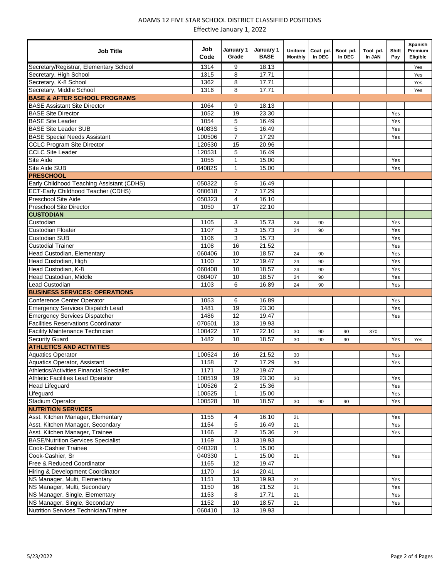| Job Title                                  | Job<br>Code | January 1<br>Grade | January 1<br><b>BASE</b> | Uniform<br>Monthly | Coat pd.<br>In DEC | Boot pd.<br>In DEC | Tool pd.<br>In JAN | Shift<br>Pay | Spanish<br>Premium<br>Eligible |
|--------------------------------------------|-------------|--------------------|--------------------------|--------------------|--------------------|--------------------|--------------------|--------------|--------------------------------|
| Secretary/Registrar, Elementary School     | 1314        | 9                  | 18.13                    |                    |                    |                    |                    |              | Yes                            |
| Secretary, High School                     | 1315        | $\overline{8}$     | 17.71                    |                    |                    |                    |                    |              | Yes                            |
| Secretary, K-8 School                      | 1362        | 8                  | 17.71                    |                    |                    |                    |                    |              | Yes                            |
| Secretary, Middle School                   | 1316        | 8                  | 17.71                    |                    |                    |                    |                    |              | Yes                            |
| <b>BASE &amp; AFTER SCHOOL PROGRAMS</b>    |             |                    |                          |                    |                    |                    |                    |              |                                |
| <b>BASE Assistant Site Director</b>        | 1064        | 9                  | 18.13                    |                    |                    |                    |                    |              |                                |
| <b>BASE Site Director</b>                  | 1052        | 19                 | 23.30                    |                    |                    |                    |                    | Yes          |                                |
| <b>BASE Site Leader</b>                    | 1054        | 5                  | 16.49                    |                    |                    |                    |                    | Yes          |                                |
| <b>BASE Site Leader SUB</b>                | 04083S      | 5                  | 16.49                    |                    |                    |                    |                    | Yes          |                                |
| <b>BASE Special Needs Assistant</b>        | 100506      | $\overline{7}$     | 17.29                    |                    |                    |                    |                    | Yes          |                                |
| <b>CCLC Program Site Director</b>          | 120530      | 15                 | 20.96                    |                    |                    |                    |                    |              |                                |
| <b>CCLC Site Leader</b>                    | 120531      | 5                  | 16.49                    |                    |                    |                    |                    |              |                                |
| Site Aide                                  | 1055        | $\mathbf{1}$       | 15.00                    |                    |                    |                    |                    | Yes          |                                |
| Site Aide SUB                              | 04082S      | $\mathbf{1}$       | 15.00                    |                    |                    |                    |                    | Yes          |                                |
| <b>PRESCHOOL</b>                           |             |                    |                          |                    |                    |                    |                    |              |                                |
| Early Childhood Teaching Assistant (CDHS)  | 050322      | 5                  | 16.49                    |                    |                    |                    |                    |              |                                |
| <b>ECT-Early Childhood Teacher (CDHS)</b>  | 080618      | $\overline{7}$     | 17.29                    |                    |                    |                    |                    |              |                                |
| <b>Preschool Site Aide</b>                 | 050323      | 4                  | 16.10                    |                    |                    |                    |                    |              |                                |
| <b>Preschool Site Director</b>             | 1050        | 17                 | 22.10                    |                    |                    |                    |                    |              |                                |
| <b>CUSTODIAN</b>                           |             |                    |                          |                    |                    |                    |                    |              |                                |
| Custodian                                  | 1105        | 3                  | 15.73                    | 24                 | 90                 |                    |                    | Yes          |                                |
| <b>Custodian Floater</b>                   | 1107        | 3                  | 15.73                    | 24                 | 90                 |                    |                    | Yes          |                                |
| <b>Custodian SUB</b>                       | 1106        | 3                  | 15.73                    |                    |                    |                    |                    | Yes          |                                |
| <b>Custodial Trainer</b>                   | 1108        | 16                 | 21.52                    |                    |                    |                    |                    | Yes          |                                |
| <b>Head Custodian, Elementary</b>          | 060406      | 10                 | 18.57                    | 24                 | 90                 |                    |                    | Yes          |                                |
| Head Custodian, High                       | 1100        | 12                 | 19.47                    | 24                 | 90                 |                    |                    | Yes          |                                |
| Head Custodian, K-8                        | 060408      | 10                 | 18.57                    | 24                 | 90                 |                    |                    | Yes          |                                |
| Head Custodian, Middle                     | 060407      | 10                 | 18.57                    | 24                 | 90                 |                    |                    | Yes          |                                |
| Lead Custodian                             | 1103        | 6                  | 16.89                    | 24                 | 90                 |                    |                    | Yes          |                                |
| <b>BUSINESS SERVICES: OPERATIONS</b>       |             |                    |                          |                    |                    |                    |                    |              |                                |
| Conference Center Operator                 | 1053        | 6                  | 16.89                    |                    |                    |                    |                    | Yes          |                                |
| <b>Emergency Services Dispatch Lead</b>    | 1481        | 19                 | 23.30                    |                    |                    |                    |                    | Yes          |                                |
| <b>Emergency Services Dispatcher</b>       | 1486        | 12                 | 19.47                    |                    |                    |                    |                    | Yes          |                                |
| <b>Facilities Reservations Coordinator</b> | 070501      | 13                 | 19.93                    |                    |                    |                    |                    |              |                                |
| <b>Facility Maintenance Technician</b>     | 100422      | 17                 | 22.10                    | 30                 | 90                 | 90                 | 370                |              |                                |
| <b>Security Guard</b>                      | 1482        | 10                 | 18.57                    | 30                 | 90                 | 90                 |                    | Yes          | Yes                            |
| <b>ATHLETICS AND ACTIVITIES</b>            |             |                    |                          |                    |                    |                    |                    |              |                                |
| <b>Aquatics Operator</b>                   | 100524      | 16                 | 21.52                    | 30                 |                    |                    |                    | Yes          |                                |
| Aquatics Operator, Assistant               | 1158        | $\overline{7}$     | 17.29                    | 30                 |                    |                    |                    | Yes          |                                |
| Athletics/Activities Financial Specialist  | 1171        | 12                 | 19.47                    |                    |                    |                    |                    |              |                                |
| <b>Athletic Facilities Lead Operator</b>   | 100519      | 19                 | 23.30                    | 30                 |                    |                    |                    | Yes          |                                |
| <b>Head Lifeguard</b>                      | 100526      | $\overline{2}$     | 15.36                    |                    |                    |                    |                    | Yes          |                                |
| Lifeguard                                  | 100525      | $\mathbf{1}$       | 15.00                    |                    |                    |                    |                    | Yes          |                                |
| Stadium Operator                           | 100528      | 10                 | 18.57                    | 30                 | 90                 | 90                 |                    | Yes          |                                |
| <b>NUTRITION SERVICES</b>                  |             |                    |                          |                    |                    |                    |                    |              |                                |
| Asst. Kitchen Manager, Elementary          | 1155        | 4                  | 16.10                    | 21                 |                    |                    |                    | Yes          |                                |
| Asst. Kitchen Manager, Secondary           | 1154        | 5                  | 16.49                    | 21                 |                    |                    |                    | Yes          |                                |
| Asst. Kitchen Manager, Trainee             | 1166        | $\overline{c}$     | 15.36                    | 21                 |                    |                    |                    | Yes          |                                |
| <b>BASE/Nutrition Services Specialist</b>  | 1169        | 13                 | 19.93                    |                    |                    |                    |                    |              |                                |
| <b>Cook-Cashier Trainee</b>                | 040328      | 1                  | 15.00                    |                    |                    |                    |                    |              |                                |
| Cook-Cashier, Sr                           | 040330      | $\mathbf{1}$       | 15.00                    | 21                 |                    |                    |                    | Yes          |                                |
| Free & Reduced Coordinator                 | 1165        | $\overline{12}$    | 19.47                    |                    |                    |                    |                    |              |                                |
| Hiring & Development Coordinator           | 1170        | 14                 | 20.41                    |                    |                    |                    |                    |              |                                |
| NS Manager, Multi, Elementary              | 1151        | 13                 | 19.93                    | 21                 |                    |                    |                    | Yes          |                                |
| NS Manager, Multi, Secondary               | 1150        | 16                 | 21.52                    | 21                 |                    |                    |                    | Yes          |                                |
| NS Manager, Single, Elementary             | 1153        | 8                  | 17.71                    | 21                 |                    |                    |                    | Yes          |                                |
| NS Manager, Single, Secondary              | 1152        | 10                 | 18.57                    | 21                 |                    |                    |                    | Yes          |                                |
| Nutrition Services Technician/Trainer      | 060410      | 13                 | 19.93                    |                    |                    |                    |                    |              |                                |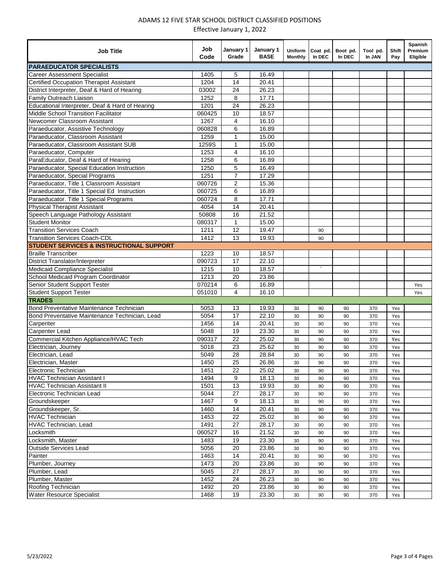| Job Title                                                            | Job<br>Code | January 1<br>Grade | January 1<br><b>BASE</b> | Uniform<br><b>Monthly</b> | Coat pd.<br>In DEC | Boot pd.<br>In DEC | Tool pd.<br>In JAN | Shift<br>Pay | Spanish<br>Premium<br>Eligible |
|----------------------------------------------------------------------|-------------|--------------------|--------------------------|---------------------------|--------------------|--------------------|--------------------|--------------|--------------------------------|
| <b>PARAEDUCATOR SPECIALISTS</b>                                      |             |                    |                          |                           |                    |                    |                    |              |                                |
| <b>Career Assessment Specialist</b>                                  | 1405        | 5                  | 16.49                    |                           |                    |                    |                    |              |                                |
| <b>Certified Occupation Therapist Assistant</b>                      | 1204        | 14                 | 20.41                    |                           |                    |                    |                    |              |                                |
| District Interpreter, Deaf & Hard of Hearing                         | 03002       | 24                 | 26.23                    |                           |                    |                    |                    |              |                                |
| Family Outreach Liaison                                              | 1252        | 8                  | 17.71                    |                           |                    |                    |                    |              |                                |
| Educational Interpreter, Deaf & Hard of Hearing                      | 1201        | 24                 | 26.23                    |                           |                    |                    |                    |              |                                |
| Middle School Transition Facilitator                                 | 060425      | 10                 | 18.57                    |                           |                    |                    |                    |              |                                |
| Newcomer Classroom Assistant                                         | 1267        | 4                  | 16.10                    |                           |                    |                    |                    |              |                                |
| Paraeducator, Assistive Technology                                   | 060828      | 6                  | 16.89                    |                           |                    |                    |                    |              |                                |
| Paraeducator, Classroom Assistant                                    | 1259        | 1                  | 15.00                    |                           |                    |                    |                    |              |                                |
| Paraeducator, Classroom Assistant SUB                                | 1259S       | $\mathbf{1}$       | 15.00                    |                           |                    |                    |                    |              |                                |
| Paraeducator, Computer                                               | 1253        | $\overline{4}$     | 16.10                    |                           |                    |                    |                    |              |                                |
| ParaEducator, Deaf & Hard of Hearing                                 | 1258        | 6                  | 16.89                    |                           |                    |                    |                    |              |                                |
| Paraeducator, Special Education Instruction                          | 1250        | $\overline{5}$     | 16.49                    |                           |                    |                    |                    |              |                                |
| Paraeducator, Special Programs                                       | 1251        | $\overline{7}$     | 17.29                    |                           |                    |                    |                    |              |                                |
| Paraeducator, Title 1 Classroom Assistant                            | 060726      | $\overline{2}$     | 15.36                    |                           |                    |                    |                    |              |                                |
| Paraeducator, Title 1 Special Ed Instruction                         | 060725      | 6                  | 16.89                    |                           |                    |                    |                    |              |                                |
| Paraeducator. Title 1 Special Programs                               | 060724      | 8                  | 17.71                    |                           |                    |                    |                    |              |                                |
| <b>Physical Therapist Assistant</b>                                  | 4054        | 14                 | 20.41                    |                           |                    |                    |                    |              |                                |
| Speech Language Pathology Assistant                                  | 50808       | 16                 | 21.52                    |                           |                    |                    |                    |              |                                |
| <b>Student Monitor</b>                                               | 080317      | $\mathbf{1}$       | 15.00                    |                           |                    |                    |                    |              |                                |
| <b>Transition Services Coach</b>                                     | 1211        | 12                 | 19.47                    |                           |                    |                    |                    |              |                                |
| <b>Transition Services Coach-CDL</b>                                 | 1412        | 13                 | 19.93                    |                           | 90                 |                    |                    |              |                                |
| <b>STUDENT SERVICES &amp; INSTRUCTIONAL SUPPORT</b>                  |             |                    |                          |                           | 90                 |                    |                    |              |                                |
|                                                                      |             |                    |                          |                           |                    |                    |                    |              |                                |
| <b>Braille Transcriber</b><br><b>District Translator/Interpreter</b> | 1223        | 10                 | 18.57                    |                           |                    |                    |                    |              |                                |
|                                                                      | 090723      | 17                 | 22.10                    |                           |                    |                    |                    |              |                                |
| <b>Medicaid Compliance Specialist</b>                                | 1215        | 10                 | 18.57                    |                           |                    |                    |                    |              |                                |
| School Medicaid Program Coordinator                                  | 1213        | 20                 | 23.86                    |                           |                    |                    |                    |              |                                |
| Senior Student Support Tester                                        | 070214      | 6                  | 16.89                    |                           |                    |                    |                    |              | Yes                            |
| <b>Student Support Tester</b>                                        | 051010      | 4                  | 16.10                    |                           |                    |                    |                    |              | Yes                            |
| <b>TRADES</b>                                                        |             |                    |                          |                           |                    |                    |                    |              |                                |
| <b>Bond Preventative Maintenance Technician</b>                      | 5053        | 13                 | 19.93                    | 30                        | 90                 | 90                 | 370                | Yes          |                                |
| Bond Preventative Maintenance Technician, Lead                       | 5054        | 17                 | 22.10                    | 30                        | 90                 | 90                 | 370                | Yes          |                                |
| Carpenter                                                            | 1456        | 14                 | 20.41                    | 30                        | 90                 | 90                 | 370                | Yes          |                                |
| <b>Carpenter Lead</b>                                                | 5048        | 19                 | 23.30                    | 30                        | 90                 | 90                 | 370                | Yes          |                                |
| Commercial Kitchen Appliance/HVAC Tech                               | 090317      | 22                 | 25.02                    | 30                        | 90                 | 90                 | 370                | Yes          |                                |
| Electrician, Journey                                                 | 5018        | $\overline{23}$    | 25.62                    | 30                        | 90                 | 90                 | 370                | Yes          |                                |
| Electrician, Lead                                                    | 5049        | $\overline{28}$    | 28.84                    | 30                        | 90                 | 90                 | 370                | Yes          |                                |
| Electrician, Master                                                  | 1450        | 25                 | 26.86                    | 30                        | 90                 | 90                 | 370                | Yes          |                                |
| Electronic Technician                                                | 1451        | 22                 | 25.02                    | 30                        | 90                 | 90                 | 370                | Yes          |                                |
| <b>HVAC Technician Assistant I</b>                                   | 1494        | 9                  | 18.13                    | 30                        | 90                 | 90                 | 370                | Yes          |                                |
| <b>HVAC Technician Assistant II</b>                                  | 1501        | 13                 | 19.93                    | 30                        | 90                 | 90                 | 370                | Yes          |                                |
| Electronic Technician Lead                                           | 5044        | 27                 | 28.17                    | 30                        | 90                 | 90                 | 370                | Yes          |                                |
| Groundskeeper                                                        | 1467        | 9                  | 18.13                    | 30                        | 90                 | 90                 | 370                | Yes          |                                |
| Groundskeeper, Sr.                                                   | 1460        | 14                 | 20.41                    | 30                        | 90                 | 90                 | 370                | Yes          |                                |
| <b>HVAC Technician</b>                                               | 1453        | 22                 | 25.02                    | 30                        | 90                 | 90                 | 370                | Yes          |                                |
| <b>HVAC Technician, Lead</b>                                         | 1491        | 27                 | 28.17                    | 30                        | 90                 | 90                 | 370                | Yes          |                                |
| _ocksmith                                                            | 060527      | 16                 | 21.52                    | 30                        | 90                 | 90                 | 370                | Yes          |                                |
| Locksmith, Master                                                    | 1483        | 19                 | 23.30                    | 30                        | 90                 | 90                 | 370                | Yes          |                                |
| <b>Outside Services Lead</b>                                         | 5056        | 20                 | 23.86                    | 30                        | 90                 | 90                 | 370                | Yes          |                                |
| Painter                                                              | 1463        | 14                 | 20.41                    | 30                        | 90                 | 90                 | 370                | Yes          |                                |
| Plumber, Journey                                                     | 1473        | 20                 | 23.86                    | 30                        | 90                 | 90                 | 370                | Yes          |                                |
| Plumber, Lead                                                        | 5045        | 27                 | 28.17                    | 30                        | 90                 | 90                 | 370                | Yes          |                                |
| Plumber, Master                                                      | 1452        | 24                 | 26.23                    | 30                        | 90                 | 90                 | 370                | Yes          |                                |
| Roofing Technician                                                   | 1492        | 20                 | 23.86                    | 30                        | 90                 | 90                 | 370                | Yes          |                                |
| <b>Water Resource Specialist</b>                                     | 1468        | 19                 | 23.30                    | 30                        | 90                 | 90                 | 370                | Yes          |                                |